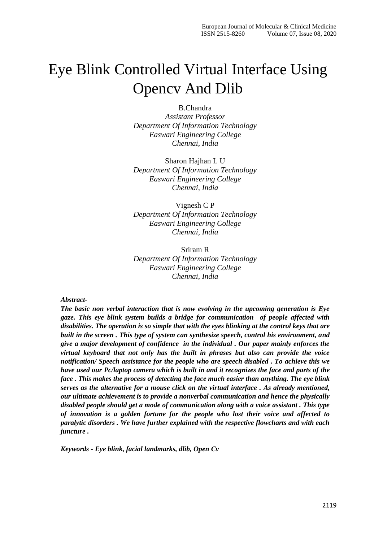# Eye Blink Controlled Virtual Interface Using Opencv And Dlib

B.Chandra

*Assistant Professor Department Of Information Technology Easwari Engineering College Chennai, India*

Sharon Hajhan L U *Department Of Information Technology Easwari Engineering College Chennai, India*

Vignesh C P *Department Of Information Technology Easwari Engineering College Chennai, India*

Sriram R *Department Of Information Technology Easwari Engineering College Chennai, India*

#### *Abstract-*

*The basic non verbal interaction that is now evolving in the upcoming generation is Eye gaze. This eye blink system builds a bridge for communication of people affected with disabilities. The operation is so simple that with the eyes blinking at the control keys that are built in the screen . This type of system can synthesize speech, control his environment, and give a major development of confidence in the individual . Our paper mainly enforces the virtual keyboard that not only has the built in phrases but also can provide the voice notification/ Speech assistance for the people who are speech disabled . To achieve this we have used our Pc/laptop camera which is built in and it recognizes the face and parts of the face . This makes the process of detecting the face much easier than anything. The eye blink serves as the alternative for a mouse click on the virtual interface . As already mentioned, our ultimate achievement is to provide a nonverbal communication and hence the physically disabled people should get a mode of communication along with a voice assistant . This type of innovation is a golden fortune for the people who lost their voice and affected to paralytic disorders . We have further explained with the respective flowcharts and with each juncture .*

*Keywords - Eye blink, facial landmarks, dlib, Open Cv*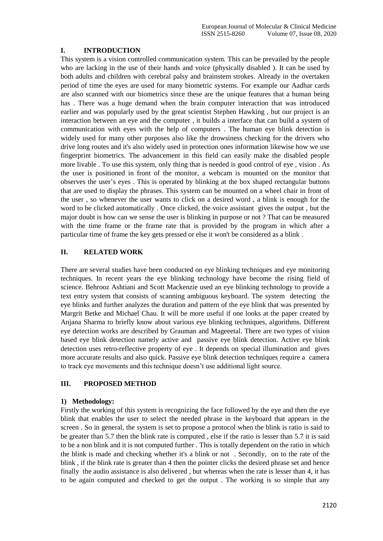# **I. INTRODUCTION**

This system is a vision controlled communication system. This can be prevailed by the people who are lacking in the use of their hands and voice (physically disabled ). It can be used by both adults and children with cerebral palsy and brainstem strokes. Already in the overtaken period of time the eyes are used for many biometric systems. For example our Aadhar cards are also scanned with our biometrics since these are the unique features that a human being has . There was a huge demand when the brain computer interaction that was introduced earlier and was popularly used by the great scientist Stephen Hawking , but our project is an interaction between an eye and the computer , it builds a interface that can build a system of communication with eyes with the help of computers . The human eye blink detection is widely used for many other purposes also like the drowsiness checking for the drivers who drive long routes and it's also widely used in protection ones information likewise how we use fingerprint biometrics. The advancement in this field can easily make the disabled people more livable . To use this system, only thing that is needed is good control of eye , vision . As the user is positioned in front of the monitor, a webcam is mounted on the monitor that observes the user's eyes . This is operated by blinking at the box shaped rectangular buttons that are used to display the phrases. This system can be mounted on a wheel chair in front of the user , so whenever the user wants to click on a desired word , a blink is enough for the word to be clicked automatically . Once clicked, the voice assistant gives the output , but the major doubt is how can we sense the user is blinking in purpose or not ? That can be measured with the time frame or the frame rate that is provided by the program in which after a particular time of frame the key gets pressed or else it won't be considered as a blink .

## **II. RELATED WORK**

There are several studies have been conducted on eye blinking techniques and eye monitoring techniques. In recent years the eye blinking technology have become the rising field of science. Behrooz Ashtiani and Scott Mackenzie used an eye blinking technology to provide a text entry system that consists of scanning ambiguous keyboard. The system detecting the eye blinks and further analyzes the duration and pattern of the eye blink that was presented by Margrit Betke and Michael Chau. It will be more useful if one looks at the paper created by Anjana Sharma to briefly know about various eye blinking techniques, algorithms. Different eye detection works are described by Grauman and Mageeetal. There are two types of vision based eye blink detection namely active and passive eye blink detection. Active eye blink detection uses retro-reflective property of eye . It depends on special illumination and gives more accurate results and also quick. Passive eye blink detection techniques require a camera to track eye movements and this technique doesn't use additional light source.

# **III. PROPOSED METHOD**

#### **1) Methodology:**

Firstly the working of this system is recognizing the face followed by the eye and then the eye blink that enables the user to select the needed phrase in the keyboard that appears in the screen . So in general, the system is set to propose a protocol when the blink is ratio is said to be greater than 5.7 then the blink rate is computed , else if the ratio is lesser than 5.7 it is said to be a non blink and it is not computed further . This is totally dependent on the ratio in which the blink is made and checking whether it's a blink or not . Secondly, on to the rate of the blink , if the blink rate is greater than 4 then the pointer clicks the desired phrase set and hence finally the audio assistance is also delivered , but whereas when the rate is lesser than 4, it has to be again computed and checked to get the output . The working is so simple that any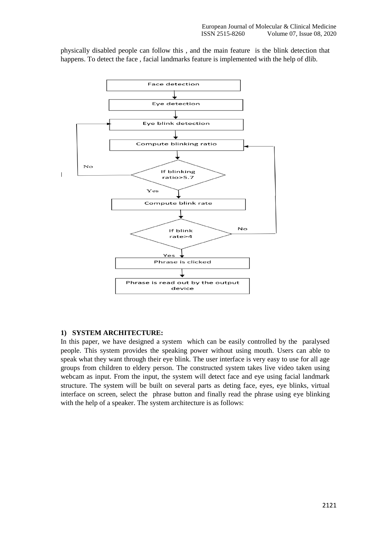physically disabled people can follow this , and the main feature is the blink detection that happens. To detect the face , facial landmarks feature is implemented with the help of dlib.



#### **1) SYSTEM ARCHITECTURE:**

In this paper, we have designed a system which can be easily controlled by the paralysed people. This system provides the speaking power without using mouth. Users can able to speak what they want through their eye blink. The user interface is very easy to use for all age groups from children to eldery person. The constructed system takes live video taken using webcam as input. From the input, the system will detect face and eye using facial landmark structure. The system will be built on several parts as deting face, eyes, eye blinks, virtual interface on screen, select the phrase button and finally read the phrase using eye blinking with the help of a speaker. The system architecture is as follows: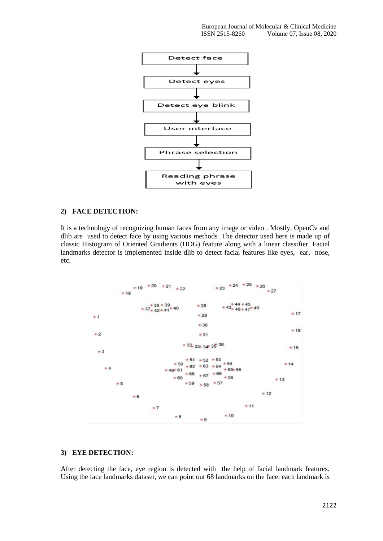

#### **2) FACE DETECTION:**

It is a technology of recognizing human faces from any image or video . Mostly, OpenCv and dlib are used to detect face by using various methods .The detector used here is made up of classic Histogram of Oriented Gradients (HOG) feature along with a linear classifier. Facial landmarks detector is implemented inside dlib to detect facial features like eyes, ear, nose, etc.



#### **3) EYE DETECTION:**

After detecting the face, eye region is detected with the help of facial landmark features. Using the face landmarks dataset, we can point out 68 landmarks on the face. each landmark is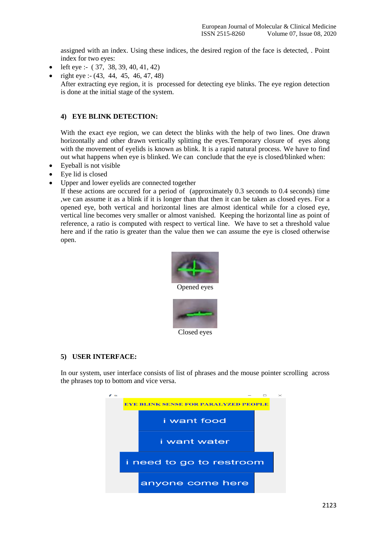assigned with an index. Using these indices, the desired region of the face is detected, . Point index for two eyes:

- left eye :-  $(37, 38, 39, 40, 41, 42)$
- right eye :- (43, 44, 45, 46, 47, 48)

After extracting eye region, it is processed for detecting eye blinks. The eye region detection is done at the initial stage of the system.

# **4) EYE BLINK DETECTION:**

With the exact eye region, we can detect the blinks with the help of two lines. One drawn horizontally and other drawn vertically splitting the eyes.Temporary closure of eyes along with the movement of eyelids is known as blink. It is a rapid natural process. We have to find out what happens when eye is blinked. We can conclude that the eye is closed/blinked when:

- Eyeball is not visible
- Eye lid is closed
- Upper and lower eyelids are connected together

If these actions are occured for a period of (approximately 0.3 seconds to 0.4 seconds) time ,we can assume it as a blink if it is longer than that then it can be taken as closed eyes. For a opened eye, both vertical and horizontal lines are almost identical while for a closed eye, vertical line becomes very smaller or almost vanished. Keeping the horizontal line as point of reference, a ratio is computed with respect to vertical line. We have to set a threshold value here and if the ratio is greater than the value then we can assume the eye is closed otherwise open.



#### **5) USER INTERFACE:**

In our system, user interface consists of list of phrases and the mouse pointer scrolling across the phrases top to bottom and vice versa.

Closed eyes

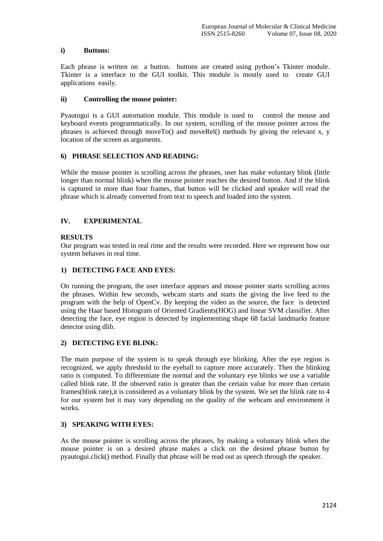#### **i) Buttons:**

Each phrase is written on a button. buttons are created using python's Tkinter module. Tkinter is a interface to the GUI toolkit. This module is mostly used to create GUI applications easily.

## **ii) Controlling the mouse pointer:**

Pyautogui is a GUI automation module. This module is used to control the mouse and keyboard events programmatically. In our system, scrolling of the mouse pointer across the phrases is achieved through moveTo() and moveRel() methods by giving the relevant x, y location of the screen as arguments.

## **6) PHRASE SELECTION AND READING:**

While the mouse pointer is scrolling across the phrases, user has make voluntary blink (little longer than normal blink) when the mouse pointer reaches the desired button. And if the blink is captured in more than four frames, that button will be clicked and speaker will read the phrase which is already converted from text to speech and loaded into the system.

# **IV. EXPERIMENTAL**

# **RESULTS**

Our program was tested in real rime and the results were recorded. Here we represent how our system behaves in real time.

# **1) DETECTING FACE AND EYES:**

On running the program, the user interface appears and mouse pointer starts scrolling across the phrases. Within few seconds, webcam starts and starts the giving the live feed to the program with the help of OpenCv. By keeping the video as the source, the face is detected using the Haar based Histogram of Oriented Gradients(HOG) and linear SVM classifier. After detecting the face, eye region is detected by implementing shape 68 facial landmarks feature detector using dlib.

# **2) DETECTING EYE BLINK:**

The main purpose of the system is to speak through eye blinking. After the eye region is recognized, we apply threshold to the eyeball to capture more accurately. Then the blinking ratio is computed. To differentiate the normal and the voluntary eye blinks we use a variable called blink rate. If the observed ratio is greater than the certain value for more than certain frames(blink rate),it is considered as a voluntary blink by the system. We set the blink rate to 4 for our system but it may vary depending on the quality of the webcam and environment it works.

# **3) SPEAKING WITH EYES:**

As the mouse pointer is scrolling across the phrases, by making a voluntary blink when the mouse pointer is on a desired phrase makes a click on the desired phrase button by pyautogui.click() method. Finally that phrase will be read out as speech through the speaker.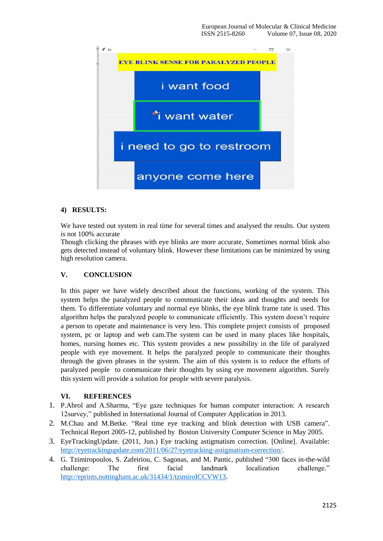

## **4) RESULTS:**

We have tested out system in real time for several times and analysed the results. Our system is not 100% accurate

Though clicking the phrases with eye blinks are more accurate, Sometimes normal blink also gets detected instead of voluntary blink. However these limitations can be minimized by using high resolution camera.

#### **V. CONCLUSION**

In this paper we have widely described about the functions, working of the system. This system helps the paralyzed people to communicate their ideas and thoughts and needs for them. To differentiate voluntary and normal eye blinks, the eye blink frame rate is used. This algorithm helps the paralyzed people to communicate efficiently. This system doesn't require a person to operate and maintenance is very less. This complete project consists of proposed system, pc or laptop and web cam.The system can be used in many places like hospitals, homes, nursing homes etc. This system provides a new possibility in the life of paralyzed people with eye movement. It helps the paralyzed people to communicate their thoughts through the given phrases in the system. The aim of this system is to reduce the efforts of paralyzed people to communicate their thoughts by using eye movement algorithm. Surely this system will provide a solution for people with severe paralysis.

#### **VI. REFERENCES**

- 1. P.Abrol and A.Sharma, "Eye gaze techniques for human computer interaction: A research 12survey," published in International Journal of Computer Application in 2013.
- 2. M.Chau and M.Betke. "Real time eye tracking and blink detection with USB camera". Technical Report 2005-12, published by Boston University Computer Science in May 2005.
- 3. EyeTrackingUpdate. (2011, Jun.) Eye tracking astigmatism correction. [Online]. Available: [http://eyetrackingupdate.com/2011/06/27/eyetracking-astigmatism-correction/.](http://eyetrackingupdate.com/2011/06/27/eyetracking-astigmatism-correction/)
- 4. G. Tzimiropoulos, S. Zafeiriou, C. Sagonas, and M. Pantic, published "300 faces in-the-wild challenge: The first facial landmark localization challenge." [http://eprints.nottingham.ac.uk/31434/1/tzimiroICCVW13.](http://eprints.nottingham.ac.uk/31434/1/tzimiroICCVW13)